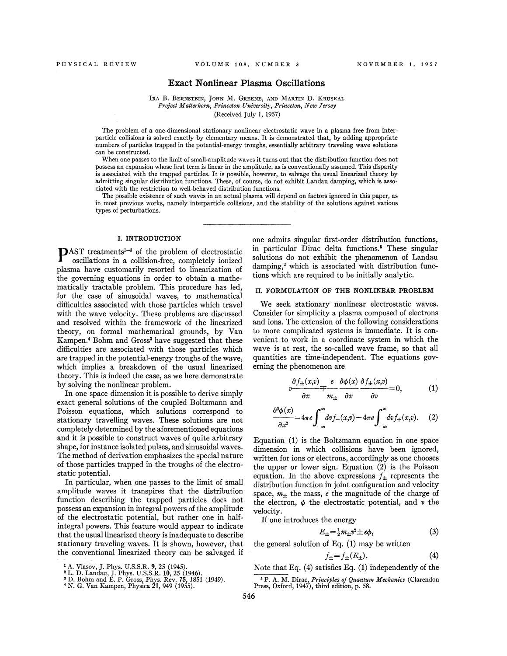## Exact Nonlinear Plasma Oscillations

#### IRA B. BERNSTEIN, JOHN M. GREENE, AND MARTIN D. KRUSKAL Project Matterhorn, Princeton University, Princeton, New Jersey (Received July 1, 1957)

The problem of a one-dimensional stationary nonlinear electrostatic wave in a plasma free from interparticle collisions is solved exactly by elementary means. It is demonstrated that, by adding appropriate numbers of particles trapped in the potential-energy troughs, essentially arbitrary traveling wave solutions can be constructed.

When one passes to the limit of small-amplitude waves it turns out that the distribution function does not possess an expansion whose first term is linear in the amplitude, as is conventionally assumed. This disparity is associated with the trapped particles. It is possible, however, to salvage the usual linearized theory by admitting singular distribution functions. These, of course, do not exhibit Landau damping, which is associated with the restriction to well-behaved distribution functions.

The possible existence of such waves in an actual plasma will depend on factors ignored in this paper, as in most previous works, namely interparticle collisions, and the stability of the solutions against various types of perturbations.

 $\mathbf{D}$ AST treatments<sup>1-3</sup> of the problem of electrostatic oscillations in a collision-free, completely ionized plasma have customarily resorted to linearization of the governing equations in order to obtain a mathematically tractable problem. This procedure has led, for the case of sinusoidal waves, to mathematical difhculties associated with those particles which travel with the wave velocity. These problems are discussed and resolved within the framework of the linearized theory, on formal mathematical grounds, by Van Kampen.<sup>4</sup> Bohm and Gross<sup>3</sup> have suggested that these difhculties are associated with those particles which are trapped in the potential-energy troughs of the wave, which implies a breakdown of the usual linearized theory. This is indeed the case, as we here demonstrate by solving the nonlinear problem.

In one space dimension it is possible to derive simply exact general solutions of the coupled Boltzmann and Poisson equations, which solutions correspond to stationary travelling waves. These solutions are not completely determined by the aforementioned equations and it is possible to construct waves of quite arbitrary shape, for instance isolated pulses, and sinusoidal waves. The method of derivation emphasizes the special nature of those particles trapped in the troughs of the electro static potential.

In particular, when one passes to the limit of smal amplitude waves it transpires that the distributio function describing the trapped particles does no possess an expansion in integral powers of the amplitud of the electrostatic potential, but rather one in half integral powers. This feature would appear to indicat that the usual linearized theory is inadequate to describ stationary traveling waves. It is shown, however, tha the conventional linearized theory can be salvaged i

I. INTRODUCTION one admits singular first-order distribution functions, in particular Dirac delta functions.<sup>5</sup> These singular solutions do not exhibit the phenomenon of Landau damping,<sup>2</sup> which is associated with distribution functions which are required to be initially analytic.

#### II. FORMULATION OF THE NONLINEAR PROBLEM

We seek stationary nonlinear electrostatic waves. Consider for simplicity a plasma composed of electrons and ions. The extension of the following considerations to more complicated systems is immediate. It is convenient to work in a coordinate system in which the wave is at rest, the so-called wave frame, so that all quantities are time-independent. The equations governing the phenomenon are

$$
v \frac{\partial f_{\pm}(x,v)}{\partial x} + \frac{e}{m_{\pm}} \frac{\partial \phi(x)}{\partial x} \frac{\partial f_{\pm}(x,v)}{\partial v} = 0, \qquad (1)
$$

$$
\frac{\partial^2 \phi(x)}{\partial x^2} = 4\pi e \int_{-\infty}^{\infty} dv f_-(x,v) - 4\pi e \int_{-\infty}^{\infty} dv f_+(x,v). \tag{2}
$$

Equation (1) is the Boltzmann equation in one space dimension in which collisions have been ignored, written for ions or electrons, accordingly as one chooses the upper or lower sign. Equation (2) is the Poisson equation. In the above expressions  $f_{\pm}$  represents the distribution function in joint configuration and velocity space,  $m_{\pm}$  the mass, e the magnitude of the charge of the electron,  $\phi$  the electrostatic potential, and v the velocity.

If one introduces the energy

$$
E_{\pm} = \frac{1}{2}m_{\pm}v^2 \pm e\phi, \tag{3}
$$

the general solution of Eq.  $(1)$  may be written

$$
f_{\pm} = f_{\pm}(E_{\pm}).\tag{4}
$$

Note that Eq. (4) satisfies Eq. (1) independently of the

<sup>&</sup>lt;sup>1</sup> A. Vlasov, J. Phys. U.S.S.R. **9**, 25 (1945).<br><sup>2</sup> L. D. Landau, J. Phys. U.S.S.R. 10, 25 (1946).<br><sup>3</sup> D. Bohm and E. P. Gross, Phys. Rev. 75, 1851 (1949).<br><sup>4</sup> N. G. Van Kampen, Physica 21, 949 (1955).

<sup>&</sup>lt;sup>5</sup> P. A. M. Dirac, Principles of Quantum Mechanics (Clarendon Press, Oxford, 1947), third edition, p. 58.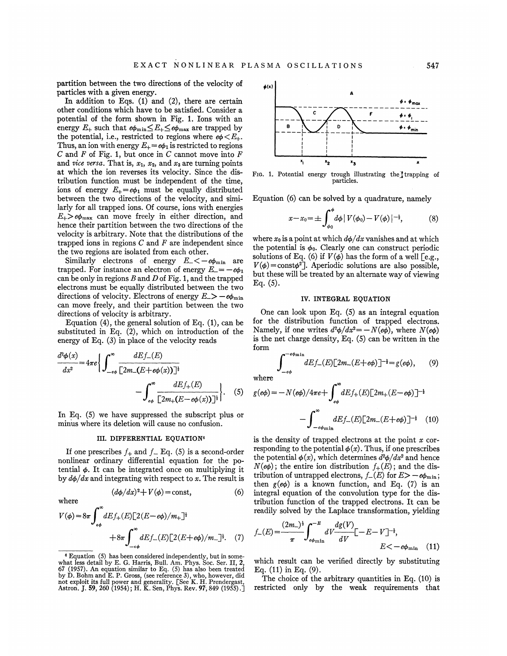partition between the two directions of the velocity of particles with a given energy.

In addition to Eqs.  $(1)$  and  $(2)$ , there are certain other conditions which have to be satisied. Consider a potential of the form shown in Fig. 1. Ions with an energy  $E_{+}$  such that  $e\phi_{\min} \leq E_{+} \leq e\phi_{\max}$  are trapped by the potential, i.e., restricted to regions where  $e\phi \langle E_+$ . Thus, an ion with energy  $E_+ = e\phi_1$  is restricted to regions  $C$  and  $F$  of Fig. 1, but once in  $C$  cannot move into  $F$ and vice versa. That is,  $x_1$ ,  $x_2$ , and  $x_3$  are turning points at which the ion reverses its velocity. Since the distribution function must be independent of the time, ions of energy  $E_+=e\phi_1$  must be equally distributed between the two directions of the velocity, and similarly for all trapped ions. Of course, ions with energies  $E_{+} > e\phi_{\text{max}}$  can move freely in either direction, and hence their partition between the two directions of the velocity is arbitrary. Note that the distributions of the trapped ions in regions  $C$  and  $F$  are independent since the two regions are isolated from each other.

Similarly electrons of energy  $E_{-} < -e\phi_{\min}$  are trapped. For instance an electron of energy  $E = -e\phi_1$ can be only in regions  $B$  and  $D$  of Fig. 1, and the trapped electrons must be equally distributed between the two directions of velocity. Electrons of energy  $E \gg -e\phi_{\min}$ can move freely, and their partition between the two directions of velocity is arbitrary.

Equation  $(4)$ , the general solution of Eq.  $(1)$ , can be substituted in Eq. (2), which on introduction of the energy of Eq. (3) in place of the velocity reads

$$
\frac{d^2\phi(x)}{dx^2} = 4\pi e \Biggl\{ \int_{-e\phi}^{\infty} \frac{dE f_{-}(E)}{\left[2m_{-}(E+e\phi(x))\right]^{\frac{1}{2}}} - \int_{e\phi}^{\infty} \frac{dE f_{+}(E)}{\left[2m_{+}(E-e\phi(x))\right]^{\frac{1}{2}}} \Biggr\}. \tag{5}
$$

In Eq. (5) we have suppressed the subscript plus or minus where its deletion will cause no confusion.

### III. DIFFERENTIAL EQUATION<sup>6</sup>

If one prescribes  $f_+$  and  $f_-\text{Eq.}$  (5) is a second-order nonlinear ordinary differential equation for the potential  $\phi$ . It can be integrated once on multiplying it by  $d\phi/dx$  and integrating with respect to x. The result is

 $(d\phi/dx)^2 + V(\phi) = \text{const},$  (6)

where

$$
V(\phi) = 8\pi \int_{\epsilon\phi}^{\infty} dE f_{+}(E) [2(E - e\phi)/m_{+}]^{\frac{1}{2}}
$$
  
+8\pi  $\int_{-\epsilon\phi}^{\infty} dE f_{-}(E) [2(E + e\phi)/m_{-}]^{\frac{1}{2}}.$  (7)



FIG. 1. Potential energy trough illustrating the trapping of particles.

Equation (6) can be solved by a quadrature, namely

$$
x - x_0 = \pm \int_{\phi_0}^{\phi} d\phi \, | \, V(\phi_0) - V(\phi) \, |^{-\frac{1}{2}}, \tag{8}
$$

where  $x_0$  is a point at which  $d\phi/dx$  vanishes and at which the potential is  $\phi_0$ . Clearly one can construct periodic solutions of Eq. (6) if  $V(\phi)$  has the form of a well [e.g.,  $V(\phi) = \text{const} \phi^2$ . Aperiodic solutions are also possible. but these will be treated by an alternate way of viewing Eq. (5).

# IV. INTEGRAL EQUATION

One can look upon Eq.  $(5)$  as an integral equation for the distribution function of trapped electrons. Namely, if one writes  $d^2\phi/dx^2 = -N(e\phi)$ , where  $N(e\phi)$ is the net charge density, Eq. (5) can be written in the form  $-e\phi_{\rm min}$ 

$$
\int_{-e\phi}^{-e\phi_{\min}} dE f_{-}(E) \left[2m_{-}(E+e\phi)\right]^{-\frac{1}{2}} = g(e\phi), \qquad (9)
$$

where

where  
\n(5) 
$$
g(e\phi) = -N(e\phi)/4\pi e + \int_{e\phi}^{\infty} dE f_{+}(E) [2m_{+}(E-e\phi)]^{-\frac{1}{2}}
$$
\nor\n
$$
-\int_{-e\phi_{\min}}^{\infty} dE f_{-}(E) [2m_{-}(E+e\phi)]^{-\frac{1}{2}} \quad (10)
$$

is the density of trapped electrons at the point  $x$  corresponding to the potential  $\phi(x)$ . Thus, if one prescribes the potential  $\phi(x)$ , which determines  $d^2\phi/dx^2$  and hence  $N(e\phi)$ ; the entire ion distribution  $f_+(E)$ ; and the distribution of untrapped electrons,  $f_{-}(E)$  for  $E > -e\phi_{\min}$ ; then  $g(e\phi)$  is a known function, and Eq. (7) is an integral equation of the convolution type for the distribution function of the trapped electrons. It can be readily solved by the Laplace transformation, yielding

$$
f_{-}(E) = \frac{(2m_{-})^{\frac{1}{2}}}{\pi} \int_{e\phi_{\min}}^{-E} dV \frac{dg(V)}{dV} [-E - V]^{-\frac{1}{2}},
$$
  
 
$$
E < -e\phi_{\min} \quad (11)
$$

which result can be verified directly by substituting Eq.  $(11)$  in Eq.  $(9)$ .

The choice of the arbitrary quantities in Eq. (10) is restricted only by the weak requirements that

Equation (5) has been considered independently, but in somewhat less detail by E. G. Harris, Bull. Am. Phys. Soc. Ser. II, 2, 67 (1957). An equation similar to Eq. (5) has also been treated by D. Bohm and E. P. Gross, (see reference 3), who, however, did not exploit its full power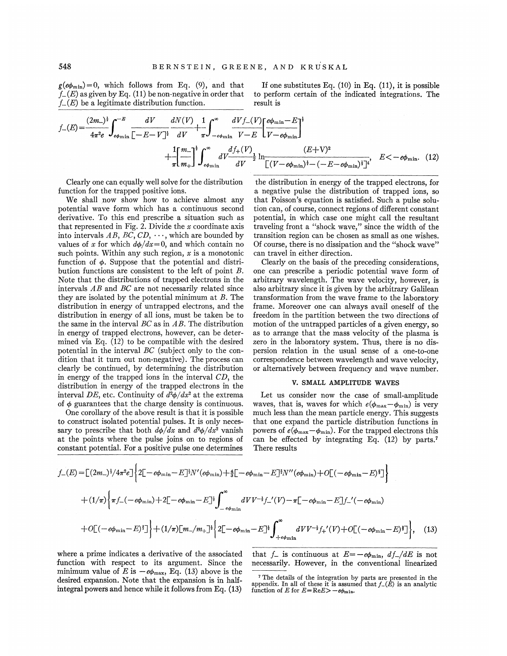$g(e\phi_{\min})=0$ , which follows from Eq. (9), and that  $f_{-}(E)$  as given by Eq. (11) be non-negative in order that

If one substitutes Eq.  $(10)$  in Eq.  $(11)$ , it is possible to perform certain of the indicated integrations. The result is ™

$$
f_{-}(E) = \frac{(2m_{-})^{\frac{1}{2}}}{4\pi^2 e} \int_{e\phi_{\min}}^{-E} \frac{dV}{[-E-V]^{\frac{1}{2}}} \frac{dN(V)}{dV} + \int_{-e\phi_{\min}}^{\infty} \frac{dV f_{-}(V)}{V - E} \left[ \frac{e\phi_{\min} - E}{V - e\phi_{\min}} \right]^{\frac{1}{2}} \frac{dV}{[V - e\phi_{\min}]} + \frac{1}{\pi} \left[ \frac{m_{-}}{m_{+}} \right]^{\frac{1}{2}} \int_{-e\phi_{\min}}^{\infty} \frac{dV f_{+}(V)}{dV} \frac{(E+V)^2}{[(V - e\phi_{\min})^{\frac{1}{2}} - (-E - e\phi_{\min})^{\frac{1}{2}}]^{\frac{1}{2}}}, \quad E < -e\phi_{\min}. \quad (12)
$$

Clearly one can equally well solve for the distribution function for the trapped positive ions.

We shall now show how to achieve almost any potential wave form which has a continuous second derivative. To this end prescribe a situation such as that represented in Fig. 2. Divide the  $x$  coordinate axis into intervals AB, BC,  $CD, \cdots$ , which are bounded by values of x for which  $d\phi/dx=0$ , and which contain no such points. Within any such region,  $x$  is a monotonic function of  $\phi$ . Suppose that the potential and distribution functions are consistent to the left of point  $B$ . Note that the distributions of trapped electrons in the intervals AB and BC are not necessarily related since they are isolated by the potential minimum at B. The distribution in energy of untrapped electrons, and the distribution in energy of all ions, must be taken be to the same in the interval  $BC$  as in  $AB$ . The distribution in energy of trapped electrons, however, can be determined via Eq.  $(12)$  to be compatible with the desired potential in the interval  $BC$  (subject only to the condition that it turn out non-negative). The process can clearly be continued, by determining the distribution in energy of the trapped ions in the interval CD, the distribution in energy of the trapped electrons in the interval DE, etc. Continuity of  $d^2\phi/dx^2$  at the extrema of  $\phi$  guarantees that the charge density is continuous.

One corollary of the above result is that it is possible to construct isolated potential pulses. lt is only necessary to prescribe that both  $d\phi/dx$  and  $d^2\phi/dx^2$  vanish at the points where the pulse joins on to regions of constant potential. For a positive pulse one determines

the distribution in energy of the trapped electrons, for a negative pulse the distribution of trapped ions, so that Poisson's equation is satisfied. Such a pulse solution can, of course, connect regions of diferent constant potential, in which case one might call the resultant potential, in which case one might call the resultant<br>traveling front a "shock wave," since the width of the transition region can be chosen as small as one wishes. Of course, there is no dissipation and the "shock wave" can travel in either direction.

Clearly on the basis of the preceding considerations, one can prescribe a periodic potential wave form of arbitrary wavelength. The wave velocity, however, is also arbitrary since it is given by the arbitrary Galilean transformation from the wave frame to the laboratory frame. Moreover one can always avail oneself of the freedom in the partition between the two directions of motion of the untrapped particles of a given energy, so as to arrange that the mass velocity of the plasma is zero in the laboratory system. Thus, there is no dispersion relation in the usual sense of a one-to-one correspondence between wavelength and wave velocity, or alternatively between frequency and wave number.

## V. SMALL AMPLITUDE WAVES

Let us consider now the case of small-amplitude waves, that is, waves for which  $e(\phi_{\text{max}}-\phi_{\text{min}})$  is very much less than the mean particle energy. This suggests that one expand the particle distribution functions in powers of  $e(\phi_{\text{max}}-\phi_{\text{min}})$ . For the trapped electrons this can be effected by integrating Eq.  $(12)$  by parts.<sup>7</sup> There results

$$
f_{-}(E) = \left[ (2m_{-})^{\frac{1}{2}}/4\pi^{2}e \right] \left\{ 2\left[ -e\phi_{\min} - E \right] ^{\frac{1}{2}}N'(e\phi_{\min}) + \frac{4}{3}\left[ -e\phi_{\min} - E \right] ^{\frac{1}{2}}N''(e\phi_{\min}) + O\left[ (-e\phi_{\min} - E)^{\frac{1}{2}} \right] \right\}
$$
  
+ 
$$
(1/\pi) \left\{ \pi f_{-}(-e\phi_{\min}) + 2\left[ -e\phi_{\min} - E \right] ^{\frac{1}{2}} \int_{-e\phi_{\min}}^{\infty} dVV^{-\frac{1}{2}} f_{-}'(V) - \pi \left[ -e\phi_{\min} - E \right] f_{-}'(-e\phi_{\min}) + O\left[ (-e\phi_{\min} - E)^{\frac{1}{2}} \right] \right\} + (1/\pi) \left[ m_{-}/m_{+} \right] ^{\frac{1}{2}} \left\{ 2\left[ -e\phi_{\min} - E \right] ^{\frac{1}{2}} \int_{+e\phi_{\min}}^{\infty} dVV^{-\frac{1}{2}} f_{+}'(V) + O\left[ (-e\phi_{\min} - E)^{\frac{1}{2}} \right] \right\}, \quad (13)
$$

where a prime indicates a derivative of the associated function with respect to its argument. Since the minimum value of E is  $-e\phi_{\text{max}}$ , Eq. (13) above is the desired expansion. Note that the expansion is in halfintegral powers and hence while it follows from Eq. (13)

that  $f_{-}$  is continuous at  $E=-e\phi_{\min}$ ,  $df_{-}/dE$  is not necessarily. However, in the conventional linearized

<sup>&</sup>lt;sup>7</sup> The details of the integration by parts are presented in the appendix. In all of these it is assumed that  $f_{-}(E)$  is an analytic function of  $E$  for  $E - P_0$ . function of E for  $E = \text{Re}E > -e\phi_{\text{min}}$ .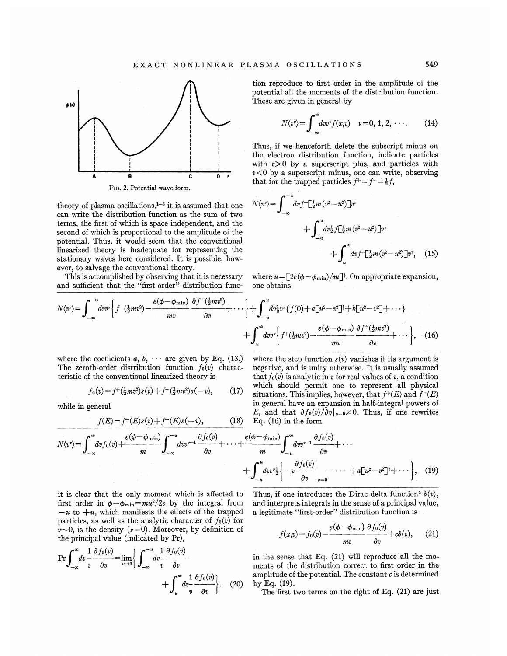

FIG. 2. Potential wave form.

theory of plasma oscillations, $1-3$  it is assumed that one can write the distribution function as the sum of two terms, the first of which is space independent, and the second of which is proportional to the amplitude of the potential. Thus, it would seem that the conventional linearized theory is inadequate for representing the stationary waves here considered. It is possible, however, to salvage the conventional theory.

This is accomplished by observing that it is necessary and sufficient that the "first-order" distribution function reproduce to 6rst order in the amplitude of the potential all the moments of the distribution function. These are given in general by

$$
N\langle v^{\nu}\rangle = \int_{-\infty}^{\infty} dv v^{\nu} f(x,v) \quad \nu = 0, 1, 2, \cdots. \tag{14}
$$

Thus, if we henceforth delete the subscript minus on the electron distribution function, indicate particles with  $v>0$  by a superscript plus, and particles with  $v < 0$  by a superscript minus, one can write, observing  $v < v$  by a superscript minus, one can write, of<br>that for the trapped particles  $f^+ = f^- = \frac{1}{2}f$ ,

$$
N\langle v^{\nu}\rangle = \int_{-\infty}^{-u} dv f^{-\left[\frac{1}{2}m(v^{2}-u^{2})\right]v^{\nu}} + \int_{-u}^{u} dv_{2}^{\frac{1}{2}} f\left[\frac{1}{2}m(v^{2}-u^{2})\right]v^{\nu} + \int_{u}^{\infty} dv f^{+}\left[\frac{1}{2}m(v^{2}-u^{2})\right]v^{\nu}, \quad (15)
$$

where  $u = [2e(\phi - \phi_{\min})/m]^{\frac{1}{2}}$ . On appropriate expansion, one obtains

$$
N\langle v^{\nu}\rangle = \int_{-\infty}^{-u} dv v^{\nu} \left\{ f^{-\left(\frac{1}{2}mv^{2}\right)} - \frac{e(\phi - \phi_{\min})}{mv} \frac{\partial f^{-\left(\frac{1}{2}mv^{2}\right)} }{\partial v} + \cdots \right\} + \int_{-u}^{u} dv_{2}^{1}v^{\nu} \left\{ f(0) + a\left[u^{2} - v^{2}\right]^{1} + b\left[u^{2} - v^{2}\right] + \cdots \right\} + \int_{u}^{\infty} dv v^{\nu} \left\{ f^{+ \left(\frac{1}{2}mv^{2}\right)} - \frac{e(\phi - \phi_{\min})}{mv} \frac{\partial f^{+ \left(\frac{1}{2}mv^{2}\right)} }{\partial v} + \cdots \right\}, \quad (16)
$$

where the coefficients  $a, b, \cdots$  are given by Eq. (13.) The zeroth-order distribution function  $f_0(v)$  characteristic of the conventional linearized theory is

$$
f_0(v) = f^+(\frac{1}{2}mv^2)s(v) + f^-(\frac{1}{2}mv^2)s(-v), \qquad (17)
$$

while in general

while in general  
\n
$$
f(E) = f^{+}(E)s(v) + f^{-}(E)s(-v),
$$
\n(18)

where the step function  $s(v)$  vanishes if its argument is negative, and is unity otherwise. It is usually assumed that  $f_0(v)$  is analytic in v for real values of v, a condition which should permit one to represent all physical situations. This implies, however, that  $f^+(E)$  and  $f^-(E)$ in general have an expansion in half-integral powers of E, and that  $\partial f_0(v)/\partial v|_{v=0} \neq 0$ . Thus, if one rewrites

$$
N\langle v^{\nu}\rangle = \int_{-\infty}^{\infty} dv f_0(v) + \frac{e(\phi - \phi_{\min})}{m} \int_{-\infty}^{-u} dv v^{\nu-1} \frac{\partial f_0(v)}{\partial v} + \cdots + \frac{e(\phi - \phi_{\min})}{m} \int_{-u}^{\infty} dv v^{\nu-1} \frac{\partial f_0(v)}{\partial v} + \cdots + \int_{-u}^{u} dv v^{\nu} \frac{1}{2} \left\{ -v \frac{\partial f_0(v)}{\partial v} \Big|_{v=0} - \cdots + a[u^2 - v^2] + \cdots \right\}, \quad (19)
$$

Eq. (16) in the form

it is clear that the only moment which is affected to first order in  $\phi - \phi_{\min} = m u^2 / 2e$  by the integral from  $-u$  to  $+u$ , which manifests the effects of the trapped particles, as well as the analytic character of  $f_0(v)$  for  $v\sim 0$ , is the density ( $v=0$ ). Moreover, by definition of the principal value (indicated by Pr),

$$
\Pr\int_{-\infty}^{\infty} dv \frac{1}{v} \frac{\partial f_0(v)}{\partial v} = \lim_{u \to 0} \left\{ \int_{-\infty}^{-u} dv - \frac{1}{v} \frac{\partial f_0(v)}{\partial v} \right. \\ \left. + \int_{u}^{\infty} dv - \frac{1}{v} \frac{\partial f_0(v)}{\partial v} \right\}.
$$
 (20)

Thus, if one introduces the Dirac delta function<sup>5</sup>  $\delta(v)$ , and interprets integrals in the sense of a principal value, a legitimate "first-order" distribution function is

$$
f(x,v) = f_0(v) - \frac{e(\phi - \phi_{\min})}{mv} \frac{\partial f_0(v)}{\partial v} + c\delta(v), \quad (21)
$$

in the sense that Eq. (21) will reproduce all the moments of the distribution correct to first order in the amplitude of the potential. The constant  $c$  is determined by Eq. (19).

The first two terms on the right of Eq. (21) are just